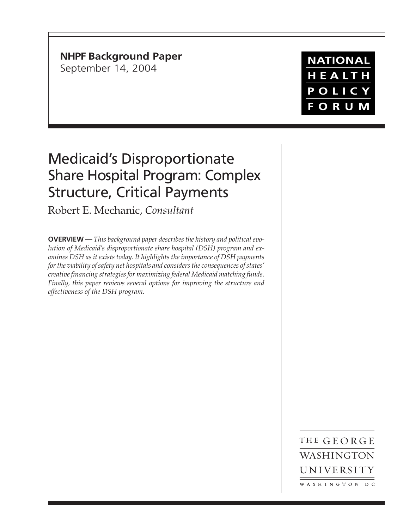**NHPF Background Paper** September 14, 2004

**NATIONAL** HEALTH POLICY **FORUM** 

## Medicaid's Disproportionate Share Hospital Program: Complex Structure, Critical Payments

Robert E. Mechanic, *Consultant*

**OVERVIEW —** *This background paper describes the history and political evolution of Medicaid's disproportionate share hospital (DSH) program and examines DSH as it exists today. It highlights the importance of DSH payments for the viability of safety net hospitals and considers the consequences of states' creative financing strategies for maximizing federal Medicaid matching funds. Finally, this paper reviews several options for improving the structure and effectiveness of the DSH program.*

> THE GEORGE WASHINGTON UNIVERSITY WASHINGTON DC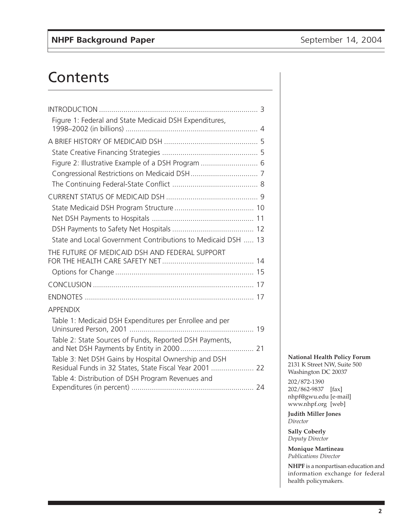## **Contents**

| Figure 1: Federal and State Medicaid DSH Expenditures,       |  |
|--------------------------------------------------------------|--|
|                                                              |  |
|                                                              |  |
|                                                              |  |
| Figure 2: Illustrative Example of a DSH Program  6           |  |
|                                                              |  |
|                                                              |  |
|                                                              |  |
|                                                              |  |
|                                                              |  |
|                                                              |  |
| State and Local Government Contributions to Medicaid DSH  13 |  |
| THE FUTURE OF MEDICAID DSH AND FEDERAL SUPPORT               |  |
|                                                              |  |
|                                                              |  |
|                                                              |  |
|                                                              |  |
| <b>APPENDIX</b>                                              |  |
| Table 1: Medicaid DSH Expenditures per Enrollee and per      |  |
|                                                              |  |
| Table 2: State Sources of Funds, Reported DSH Payments,      |  |
|                                                              |  |
| Table 3: Net DSH Gains by Hospital Ownership and DSH         |  |
| Residual Funds in 32 States, State Fiscal Year 2001  22      |  |
| Table 4: Distribution of DSH Program Revenues and            |  |
|                                                              |  |

**National Health Policy Forum** 2131 K Street NW, Suite 500 Washington DC 20037

202/872-1390 202/862-9837 [fax] nhpf@gwu.edu [e-mail] www.nhpf.org [web]

**Judith Miller Jones** *Director*

**Sally Coberly** *Deputy Director*

**Monique Martineau** *Publications Director*

**NHPF** is a nonpartisan education and information exchange for federal health policymakers.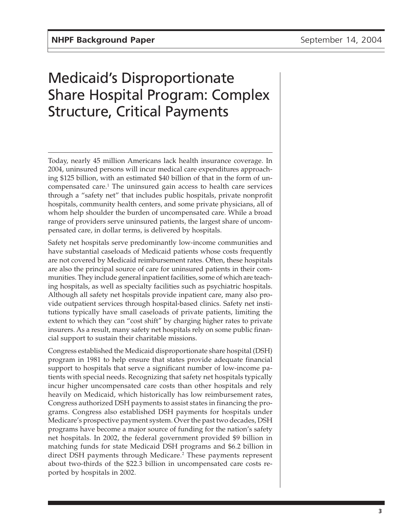# Medicaid's Disproportionate Share Hospital Program: Complex Structure, Critical Payments

Today, nearly 45 million Americans lack health insurance coverage. In 2004, uninsured persons will incur medical care expenditures approaching \$125 billion, with an estimated \$40 billion of that in the form of uncompensated care.<sup>1</sup> The uninsured gain access to health care services through a "safety net" that includes public hospitals, private nonprofit hospitals, community health centers, and some private physicians, all of whom help shoulder the burden of uncompensated care. While a broad range of providers serve uninsured patients, the largest share of uncompensated care, in dollar terms, is delivered by hospitals.

Safety net hospitals serve predominantly low-income communities and have substantial caseloads of Medicaid patients whose costs frequently are not covered by Medicaid reimbursement rates. Often, these hospitals are also the principal source of care for uninsured patients in their communities. They include general inpatient facilities, some of which are teaching hospitals, as well as specialty facilities such as psychiatric hospitals. Although all safety net hospitals provide inpatient care, many also provide outpatient services through hospital-based clinics. Safety net institutions typically have small caseloads of private patients, limiting the extent to which they can "cost shift" by charging higher rates to private insurers. As a result, many safety net hospitals rely on some public financial support to sustain their charitable missions.

Congress established the Medicaid disproportionate share hospital (DSH) program in 1981 to help ensure that states provide adequate financial support to hospitals that serve a significant number of low-income patients with special needs. Recognizing that safety net hospitals typically incur higher uncompensated care costs than other hospitals and rely heavily on Medicaid, which historically has low reimbursement rates, Congress authorized DSH payments to assist states in financing the programs. Congress also established DSH payments for hospitals under Medicare's prospective payment system. Over the past two decades, DSH programs have become a major source of funding for the nation's safety net hospitals. In 2002, the federal government provided \$9 billion in matching funds for state Medicaid DSH programs and \$6.2 billion in direct DSH payments through Medicare.<sup>2</sup> These payments represent about two-thirds of the \$22.3 billion in uncompensated care costs reported by hospitals in 2002.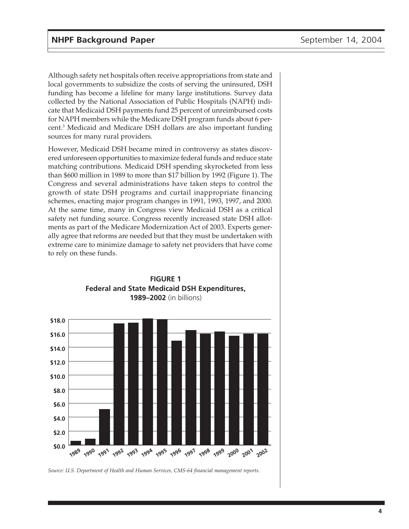Although safety net hospitals often receive appropriations from state and local governments to subsidize the costs of serving the uninsured, DSH funding has become a lifeline for many large institutions. Survey data collected by the National Association of Public Hospitals (NAPH) indicate that Medicaid DSH payments fund 25 percent of unreimbursed costs for NAPH members while the Medicare DSH program funds about 6 percent.<sup>3</sup> Medicaid and Medicare DSH dollars are also important funding sources for many rural providers.

However, Medicaid DSH became mired in controversy as states discovered unforeseen opportunities to maximize federal funds and reduce state matching contributions. Medicaid DSH spending skyrocketed from less than \$600 million in 1989 to more than \$17 billion by 1992 (Figure 1). The Congress and several administrations have taken steps to control the growth of state DSH programs and curtail inappropriate financing schemes, enacting major program changes in 1991, 1993, 1997, and 2000. At the same time, many in Congress view Medicaid DSH as a critical safety net funding source. Congress recently increased state DSH allotments as part of the Medicare Modernization Act of 2003. Experts generally agree that reforms are needed but that they must be undertaken with extreme care to minimize damage to safety net providers that have come to rely on these funds.



**FIGURE 1 Federal and State Medicaid DSH Expenditures, 1989–2002** (in billions)

*Source: U.S. Department of Health and Human Services, CMS-64 financial management reports.*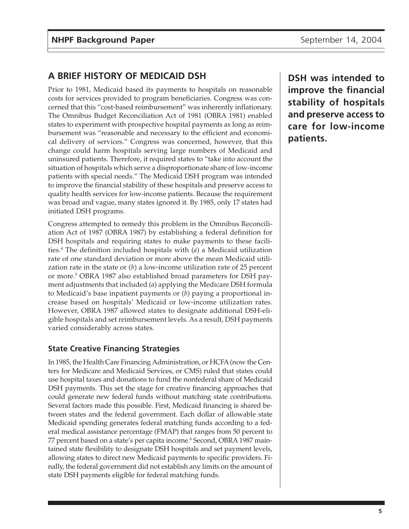## **A BRIEF HISTORY OF MEDICAID DSH**

Prior to 1981, Medicaid based its payments to hospitals on reasonable costs for services provided to program beneficiaries. Congress was concerned that this "cost-based reimbursement" was inherently inflationary. The Omnibus Budget Reconciliation Act of 1981 (OBRA 1981) enabled states to experiment with prospective hospital payments as long as reimbursement was "reasonable and necessary to the efficient and economical delivery of services." Congress was concerned, however, that this change could harm hospitals serving large numbers of Medicaid and uninsured patients. Therefore, it required states to "take into account the situation of hospitals which serve a disproportionate share of low-income patients with special needs." The Medicaid DSH program was intended to improve the financial stability of these hospitals and preserve access to quality health services for low-income patients. Because the requirement was broad and vague, many states ignored it. By 1985, only 17 states had initiated DSH programs.

Congress attempted to remedy this problem in the Omnibus Reconciliation Act of 1987 (OBRA 1987) by establishing a federal definition for DSH hospitals and requiring states to make payments to these facilities.4 The definition included hospitals with (*a*) a Medicaid utilization rate of one standard deviation or more above the mean Medicaid utilization rate in the state or (*b*) a low-income utilization rate of 25 percent or more.<sup>5</sup> OBRA 1987 also established broad parameters for DSH payment adjustments that included (*a*) applying the Medicare DSH formula to Medicaid's base inpatient payments or (*b*) paying a proportional increase based on hospitals' Medicaid or low-income utilization rates. However, OBRA 1987 allowed states to designate additional DSH-eligible hospitals and set reimbursement levels. As a result, DSH payments varied considerably across states.

#### **State Creative Financing Strategies**

In 1985, the Health Care Financing Administration, or HCFA (now the Centers for Medicare and Medicaid Services, or CMS) ruled that states could use hospital taxes and donations to fund the nonfederal share of Medicaid DSH payments. This set the stage for creative financing approaches that could generate new federal funds without matching state contributions. Several factors made this possible. First, Medicaid financing is shared between states and the federal government. Each dollar of allowable state Medicaid spending generates federal matching funds according to a federal medical assistance percentage (FMAP) that ranges from 50 percent to 77 percent based on a state's per capita income.<sup>6</sup> Second, OBRA 1987 maintained state flexibility to designate DSH hospitals and set payment levels, allowing states to direct new Medicaid payments to specific providers. Finally, the federal government did not establish any limits on the amount of state DSH payments eligible for federal matching funds.

**DSH was intended to improve the financial stability of hospitals and preserve access to care for low-income patients.**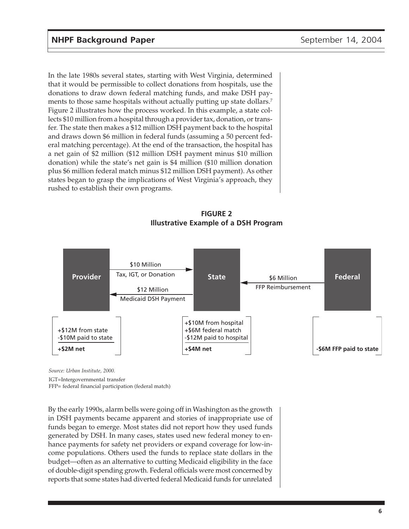In the late 1980s several states, starting with West Virginia, determined that it would be permissible to collect donations from hospitals, use the donations to draw down federal matching funds, and make DSH payments to those same hospitals without actually putting up state dollars.<sup>7</sup> Figure 2 illustrates how the process worked. In this example, a state collects \$10 million from a hospital through a provider tax, donation, or transfer. The state then makes a \$12 million DSH payment back to the hospital and draws down \$6 million in federal funds (assuming a 50 percent federal matching percentage). At the end of the transaction, the hospital has a net gain of \$2 million (\$12 million DSH payment minus \$10 million donation) while the state's net gain is \$4 million (\$10 million donation plus \$6 million federal match minus \$12 million DSH payment). As other states began to grasp the implications of West Virginia's approach, they rushed to establish their own programs.

**FIGURE 2 Illustrative Example of a DSH Program**



*Source: Urban Institute, 2000.*

IGT=Intergovernmental transfer

FFP= federal financial participation (federal match)

By the early 1990s, alarm bells were going off in Washington as the growth in DSH payments became apparent and stories of inappropriate use of funds began to emerge. Most states did not report how they used funds generated by DSH. In many cases, states used new federal money to enhance payments for safety net providers or expand coverage for low-income populations. Others used the funds to replace state dollars in the budget—often as an alternative to cutting Medicaid eligibility in the face of double-digit spending growth. Federal officials were most concerned by reports that some states had diverted federal Medicaid funds for unrelated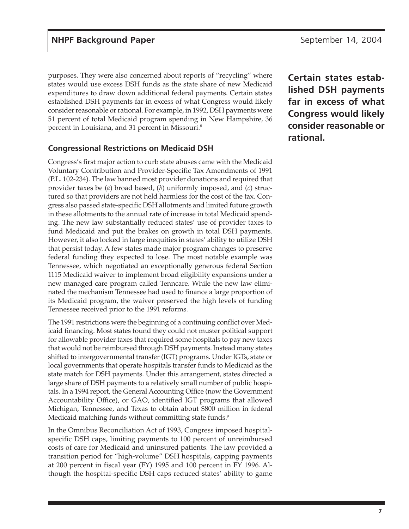purposes. They were also concerned about reports of "recycling" where states would use excess DSH funds as the state share of new Medicaid expenditures to draw down additional federal payments. Certain states established DSH payments far in excess of what Congress would likely consider reasonable or rational. For example, in 1992, DSH payments were 51 percent of total Medicaid program spending in New Hampshire, 36 percent in Louisiana, and 31 percent in Missouri.8

#### **Congressional Restrictions on Medicaid DSH**

Congress's first major action to curb state abuses came with the Medicaid Voluntary Contribution and Provider-Specific Tax Amendments of 1991 (P.L. 102-234). The law banned most provider donations and required that provider taxes be (*a*) broad based, (*b*) uniformly imposed, and (*c*) structured so that providers are not held harmless for the cost of the tax. Congress also passed state-specific DSH allotments and limited future growth in these allotments to the annual rate of increase in total Medicaid spending. The new law substantially reduced states' use of provider taxes to fund Medicaid and put the brakes on growth in total DSH payments. However, it also locked in large inequities in states' ability to utilize DSH that persist today. A few states made major program changes to preserve federal funding they expected to lose. The most notable example was Tennessee, which negotiated an exceptionally generous federal Section 1115 Medicaid waiver to implement broad eligibility expansions under a new managed care program called Tenncare. While the new law eliminated the mechanism Tennessee had used to finance a large proportion of its Medicaid program, the waiver preserved the high levels of funding Tennessee received prior to the 1991 reforms.

The 1991 restrictions were the beginning of a continuing conflict over Medicaid financing. Most states found they could not muster political support for allowable provider taxes that required some hospitals to pay new taxes that would not be reimbursed through DSH payments. Instead many states shifted to intergovernmental transfer (IGT) programs. Under IGTs, state or local governments that operate hospitals transfer funds to Medicaid as the state match for DSH payments. Under this arrangement, states directed a large share of DSH payments to a relatively small number of public hospitals. In a 1994 report, the General Accounting Office (now the Government Accountability Office), or GAO, identified IGT programs that allowed Michigan, Tennessee, and Texas to obtain about \$800 million in federal Medicaid matching funds without committing state funds.<sup>9</sup>

In the Omnibus Reconciliation Act of 1993, Congress imposed hospitalspecific DSH caps, limiting payments to 100 percent of unreimbursed costs of care for Medicaid and uninsured patients. The law provided a transition period for "high-volume" DSH hospitals, capping payments at 200 percent in fiscal year (FY) 1995 and 100 percent in FY 1996. Although the hospital-specific DSH caps reduced states' ability to game **Certain states established DSH payments far in excess of what Congress would likely consider reasonable or rational.**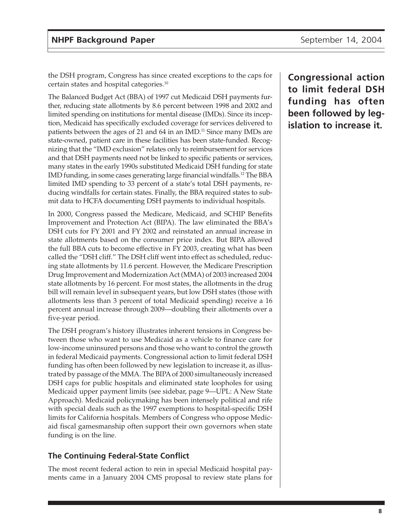the DSH program, Congress has since created exceptions to the caps for certain states and hospital categories.10

The Balanced Budget Act (BBA) of 1997 cut Medicaid DSH payments further, reducing state allotments by 8.6 percent between 1998 and 2002 and limited spending on institutions for mental disease (IMDs). Since its inception, Medicaid has specifically excluded coverage for services delivered to patients between the ages of 21 and 64 in an IMD.<sup>11</sup> Since many IMDs are state-owned, patient care in these facilities has been state-funded. Recognizing that the "IMD exclusion" relates only to reimbursement for services and that DSH payments need not be linked to specific patients or services, many states in the early 1990s substituted Medicaid DSH funding for state IMD funding, in some cases generating large financial windfalls.12 The BBA limited IMD spending to 33 percent of a state's total DSH payments, reducing windfalls for certain states. Finally, the BBA required states to submit data to HCFA documenting DSH payments to individual hospitals.

In 2000, Congress passed the Medicare, Medicaid, and SCHIP Benefits Improvement and Protection Act (BIPA). The law eliminated the BBA's DSH cuts for FY 2001 and FY 2002 and reinstated an annual increase in state allotments based on the consumer price index. But BIPA allowed the full BBA cuts to become effective in FY 2003, creating what has been called the "DSH cliff." The DSH cliff went into effect as scheduled, reducing state allotments by 11.6 percent. However, the Medicare Prescription Drug Improvement and Modernization Act (MMA) of 2003 increased 2004 state allotments by 16 percent. For most states, the allotments in the drug bill will remain level in subsequent years, but low DSH states (those with allotments less than 3 percent of total Medicaid spending) receive a 16 percent annual increase through 2009—doubling their allotments over a five-year period.

The DSH program's history illustrates inherent tensions in Congress between those who want to use Medicaid as a vehicle to finance care for low-income uninsured persons and those who want to control the growth in federal Medicaid payments. Congressional action to limit federal DSH funding has often been followed by new legislation to increase it, as illustrated by passage of the MMA. The BIPA of 2000 simultaneously increased DSH caps for public hospitals and eliminated state loopholes for using Medicaid upper payment limits (see sidebar, page 9—UPL: A New State Approach). Medicaid policymaking has been intensely political and rife with special deals such as the 1997 exemptions to hospital-specific DSH limits for California hospitals. Members of Congress who oppose Medicaid fiscal gamesmanship often support their own governors when state funding is on the line.

### **The Continuing Federal-State Conflict**

The most recent federal action to rein in special Medicaid hospital payments came in a January 2004 CMS proposal to review state plans for **Congressional action to limit federal DSH funding has often been followed by legislation to increase it.**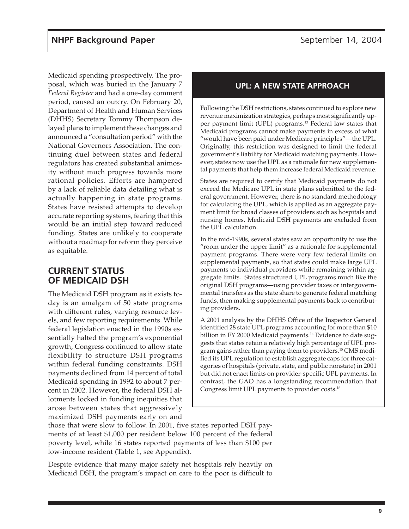Medicaid spending prospectively. The proposal, which was buried in the January 7 *Federal Register* and had a one-day comment period, caused an outcry. On February 20, Department of Health and Human Services (DHHS) Secretary Tommy Thompson delayed plans to implement these changes and announced a "consultation period" with the National Governors Association. The continuing duel between states and federal regulators has created substantial animosity without much progress towards more rational policies. Efforts are hampered by a lack of reliable data detailing what is actually happening in state programs. States have resisted attempts to develop accurate reporting systems, fearing that this would be an initial step toward reduced funding. States are unlikely to cooperate without a roadmap for reform they perceive as equitable.

### **CURRENT STATUS OF MEDICAID DSH**

The Medicaid DSH program as it exists today is an amalgam of 50 state programs with different rules, varying resource levels, and few reporting requirements. While federal legislation enacted in the 1990s essentially halted the program's exponential growth, Congress continued to allow state flexibility to structure DSH programs within federal funding constraints. DSH payments declined from 14 percent of total Medicaid spending in 1992 to about 7 percent in 2002. However, the federal DSH allotments locked in funding inequities that arose between states that aggressively maximized DSH payments early on and

#### **UPL: A NEW STATE APPROACH**

Following the DSH restrictions, states continued to explore new revenue maximization strategies, perhaps most significantly upper payment limit (UPL) programs.<sup>13</sup> Federal law states that Medicaid programs cannot make payments in excess of what "would have been paid under Medicare principles"—the UPL. Originally, this restriction was designed to limit the federal government's liability for Medicaid matching payments. However, states now use the UPL as a rationale for new supplemental payments that help them increase federal Medicaid revenue.

States are required to certify that Medicaid payments do not exceed the Medicare UPL in state plans submitted to the federal government. However, there is no standard methodology for calculating the UPL, which is applied as an aggregate payment limit for broad classes of providers such as hospitals and nursing homes. Medicaid DSH payments are excluded from the UPL calculation.

In the mid-1990s, several states saw an opportunity to use the "room under the upper limit" as a rationale for supplemental payment programs. There were very few federal limits on supplemental payments, so that states could make large UPL payments to individual providers while remaining within aggregate limits. States structured UPL programs much like the original DSH programs—using provider taxes or intergovernmental transfers as the state share to generate federal matching funds, then making supplemental payments back to contributing providers.

A 2001 analysis by the DHHS Office of the Inspector General identified 28 state UPL programs accounting for more than \$10 billion in FY 2000 Medicaid payments.<sup>14</sup> Evidence to date suggests that states retain a relatively high percentage of UPL program gains rather than paying them to providers.<sup>15</sup> CMS modified its UPL regulation to establish aggregate caps for three categories of hospitals (private, state, and public nonstate) in 2001 but did not enact limits on provider-specific UPL payments. In contrast, the GAO has a longstanding recommendation that Congress limit UPL payments to provider costs.16

those that were slow to follow. In 2001, five states reported DSH payments of at least \$1,000 per resident below 100 percent of the federal poverty level, while 16 states reported payments of less than \$100 per low-income resident (Table 1, see Appendix).

Despite evidence that many major safety net hospitals rely heavily on Medicaid DSH, the program's impact on care to the poor is difficult to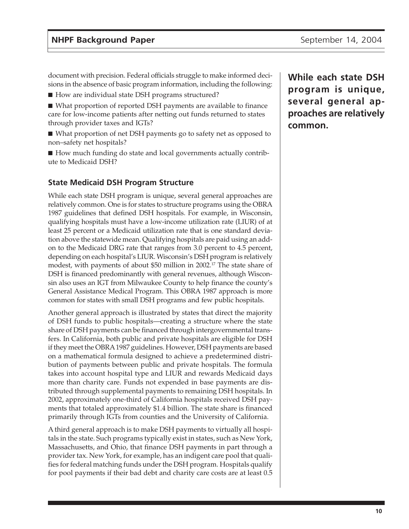document with precision. Federal officials struggle to make informed decisions in the absence of basic program information, including the following:

■ How are individual state DSH programs structured?

■ What proportion of reported DSH payments are available to finance care for low-income patients after netting out funds returned to states through provider taxes and IGTs?

■ What proportion of net DSH payments go to safety net as opposed to non–safety net hospitals?

■ How much funding do state and local governments actually contribute to Medicaid DSH?

#### **State Medicaid DSH Program Structure**

While each state DSH program is unique, several general approaches are relatively common. One is for states to structure programs using the OBRA 1987 guidelines that defined DSH hospitals. For example, in Wisconsin, qualifying hospitals must have a low-income utilization rate (LIUR) of at least 25 percent or a Medicaid utilization rate that is one standard deviation above the statewide mean. Qualifying hospitals are paid using an addon to the Medicaid DRG rate that ranges from 3.0 percent to 4.5 percent, depending on each hospital's LIUR. Wisconsin's DSH program is relatively modest, with payments of about \$50 million in 2002.17 The state share of DSH is financed predominantly with general revenues, although Wisconsin also uses an IGT from Milwaukee County to help finance the county's General Assistance Medical Program. This OBRA 1987 approach is more common for states with small DSH programs and few public hospitals.

Another general approach is illustrated by states that direct the majority of DSH funds to public hospitals—creating a structure where the state share of DSH payments can be financed through intergovernmental transfers. In California, both public and private hospitals are eligible for DSH if they meet the OBRA 1987 guidelines. However, DSH payments are based on a mathematical formula designed to achieve a predetermined distribution of payments between public and private hospitals. The formula takes into account hospital type and LIUR and rewards Medicaid days more than charity care. Funds not expended in base payments are distributed through supplemental payments to remaining DSH hospitals. In 2002, approximately one-third of California hospitals received DSH payments that totaled approximately \$1.4 billion. The state share is financed primarily through IGTs from counties and the University of California.

A third general approach is to make DSH payments to virtually all hospitals in the state. Such programs typically exist in states, such as New York, Massachusetts, and Ohio, that finance DSH payments in part through a provider tax. New York, for example, has an indigent care pool that qualifies for federal matching funds under the DSH program. Hospitals qualify for pool payments if their bad debt and charity care costs are at least 0.5 **While each state DSH program is unique, several general approaches are relatively common.**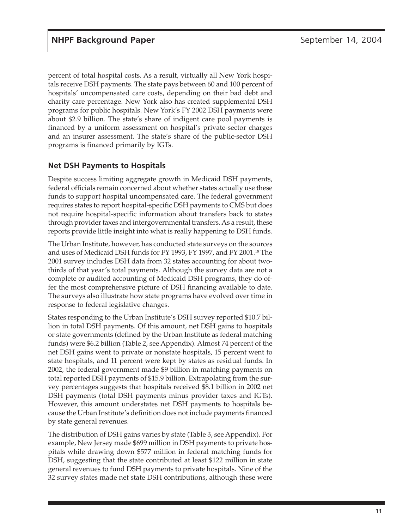percent of total hospital costs. As a result, virtually all New York hospitals receive DSH payments. The state pays between 60 and 100 percent of hospitals' uncompensated care costs, depending on their bad debt and charity care percentage. New York also has created supplemental DSH programs for public hospitals. New York's FY 2002 DSH payments were about \$2.9 billion. The state's share of indigent care pool payments is financed by a uniform assessment on hospital's private-sector charges and an insurer assessment. The state's share of the public-sector DSH programs is financed primarily by IGTs.

#### **Net DSH Payments to Hospitals**

Despite success limiting aggregate growth in Medicaid DSH payments, federal officials remain concerned about whether states actually use these funds to support hospital uncompensated care. The federal government requires states to report hospital-specific DSH payments to CMS but does not require hospital-specific information about transfers back to states through provider taxes and intergovernmental transfers. As a result, these reports provide little insight into what is really happening to DSH funds.

The Urban Institute, however, has conducted state surveys on the sources and uses of Medicaid DSH funds for FY 1993, FY 1997, and FY 2001.<sup>18</sup> The 2001 survey includes DSH data from 32 states accounting for about twothirds of that year's total payments. Although the survey data are not a complete or audited accounting of Medicaid DSH programs, they do offer the most comprehensive picture of DSH financing available to date. The surveys also illustrate how state programs have evolved over time in response to federal legislative changes.

States responding to the Urban Institute's DSH survey reported \$10.7 billion in total DSH payments. Of this amount, net DSH gains to hospitals or state governments (defined by the Urban Institute as federal matching funds) were \$6.2 billion (Table 2, see Appendix). Almost 74 percent of the net DSH gains went to private or nonstate hospitals, 15 percent went to state hospitals, and 11 percent were kept by states as residual funds. In 2002, the federal government made \$9 billion in matching payments on total reported DSH payments of \$15.9 billion. Extrapolating from the survey percentages suggests that hospitals received \$8.1 billion in 2002 net DSH payments (total DSH payments minus provider taxes and IGTs). However, this amount understates net DSH payments to hospitals because the Urban Institute's definition does not include payments financed by state general revenues.

The distribution of DSH gains varies by state (Table 3, see Appendix). For example, New Jersey made \$699 million in DSH payments to private hospitals while drawing down \$577 million in federal matching funds for DSH, suggesting that the state contributed at least \$122 million in state general revenues to fund DSH payments to private hospitals. Nine of the 32 survey states made net state DSH contributions, although these were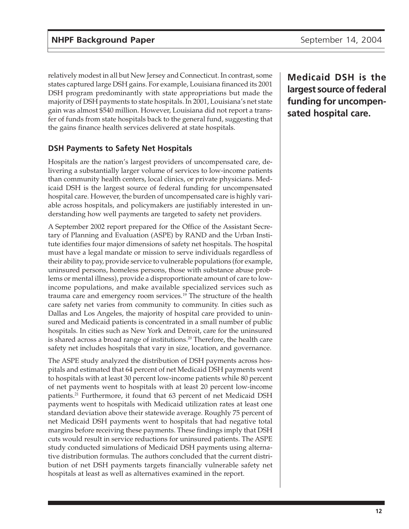relatively modest in all but New Jersey and Connecticut. In contrast, some states captured large DSH gains. For example, Louisiana financed its 2001 DSH program predominantly with state appropriations but made the majority of DSH payments to state hospitals. In 2001, Louisiana's net state gain was almost \$540 million. However, Louisiana did not report a transfer of funds from state hospitals back to the general fund, suggesting that the gains finance health services delivered at state hospitals.

#### **DSH Payments to Safety Net Hospitals**

Hospitals are the nation's largest providers of uncompensated care, delivering a substantially larger volume of services to low-income patients than community health centers, local clinics, or private physicians. Medicaid DSH is the largest source of federal funding for uncompensated hospital care. However, the burden of uncompensated care is highly variable across hospitals, and policymakers are justifiably interested in understanding how well payments are targeted to safety net providers.

A September 2002 report prepared for the Office of the Assistant Secretary of Planning and Evaluation (ASPE) by RAND and the Urban Institute identifies four major dimensions of safety net hospitals. The hospital must have a legal mandate or mission to serve individuals regardless of their ability to pay, provide service to vulnerable populations (for example, uninsured persons, homeless persons, those with substance abuse problems or mental illness), provide a disproportionate amount of care to lowincome populations, and make available specialized services such as trauma care and emergency room services.<sup>19</sup> The structure of the health care safety net varies from community to community. In cities such as Dallas and Los Angeles, the majority of hospital care provided to uninsured and Medicaid patients is concentrated in a small number of public hospitals. In cities such as New York and Detroit, care for the uninsured is shared across a broad range of institutions.<sup>20</sup> Therefore, the health care safety net includes hospitals that vary in size, location, and governance.

The ASPE study analyzed the distribution of DSH payments across hospitals and estimated that 64 percent of net Medicaid DSH payments went to hospitals with at least 30 percent low-income patients while 80 percent of net payments went to hospitals with at least 20 percent low-income patients.<sup>21</sup> Furthermore, it found that 63 percent of net Medicaid DSH payments went to hospitals with Medicaid utilization rates at least one standard deviation above their statewide average. Roughly 75 percent of net Medicaid DSH payments went to hospitals that had negative total margins before receiving these payments. These findings imply that DSH cuts would result in service reductions for uninsured patients. The ASPE study conducted simulations of Medicaid DSH payments using alternative distribution formulas. The authors concluded that the current distribution of net DSH payments targets financially vulnerable safety net hospitals at least as well as alternatives examined in the report.

**Medicaid DSH is the largest source of federal funding for uncompensated hospital care.**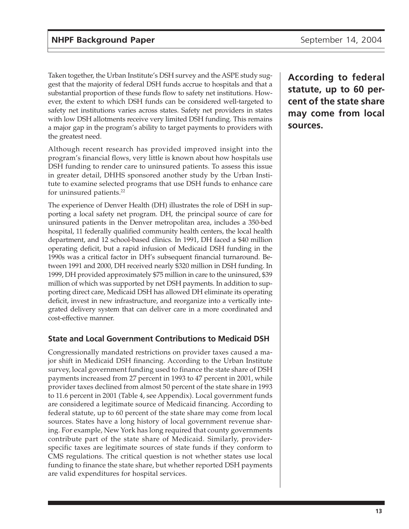Taken together, the Urban Institute's DSH survey and the ASPE study suggest that the majority of federal DSH funds accrue to hospitals and that a substantial proportion of these funds flow to safety net institutions. However, the extent to which DSH funds can be considered well-targeted to safety net institutions varies across states. Safety net providers in states with low DSH allotments receive very limited DSH funding. This remains a major gap in the program's ability to target payments to providers with the greatest need.

Although recent research has provided improved insight into the program's financial flows, very little is known about how hospitals use DSH funding to render care to uninsured patients. To assess this issue in greater detail, DHHS sponsored another study by the Urban Institute to examine selected programs that use DSH funds to enhance care for uninsured patients.22

The experience of Denver Health (DH) illustrates the role of DSH in supporting a local safety net program. DH, the principal source of care for uninsured patients in the Denver metropolitan area, includes a 350-bed hospital, 11 federally qualified community health centers, the local health department, and 12 school-based clinics. In 1991, DH faced a \$40 million operating deficit, but a rapid infusion of Medicaid DSH funding in the 1990s was a critical factor in DH's subsequent financial turnaround. Between 1991 and 2000, DH received nearly \$320 million in DSH funding. In 1999, DH provided approximately \$75 million in care to the uninsured, \$39 million of which was supported by net DSH payments. In addition to supporting direct care, Medicaid DSH has allowed DH eliminate its operating deficit, invest in new infrastructure, and reorganize into a vertically integrated delivery system that can deliver care in a more coordinated and cost-effective manner.

#### **State and Local Government Contributions to Medicaid DSH**

Congressionally mandated restrictions on provider taxes caused a major shift in Medicaid DSH financing. According to the Urban Institute survey, local government funding used to finance the state share of DSH payments increased from 27 percent in 1993 to 47 percent in 2001, while provider taxes declined from almost 50 percent of the state share in 1993 to 11.6 percent in 2001 (Table 4, see Appendix). Local government funds are considered a legitimate source of Medicaid financing. According to federal statute, up to 60 percent of the state share may come from local sources. States have a long history of local government revenue sharing. For example, New York has long required that county governments contribute part of the state share of Medicaid. Similarly, providerspecific taxes are legitimate sources of state funds if they conform to CMS regulations. The critical question is not whether states use local funding to finance the state share, but whether reported DSH payments are valid expenditures for hospital services.

**According to federal statute, up to 60 percent of the state share may come from local sources.**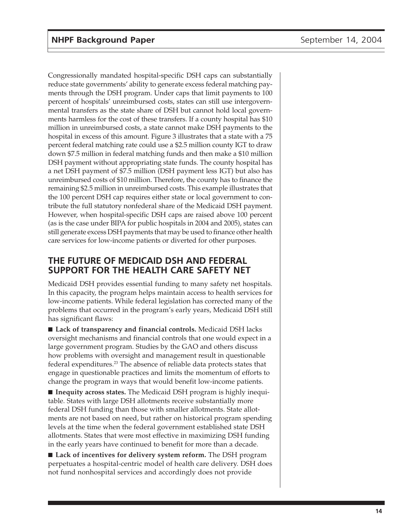Congressionally mandated hospital-specific DSH caps can substantially reduce state governments' ability to generate excess federal matching payments through the DSH program. Under caps that limit payments to 100 percent of hospitals' unreimbursed costs, states can still use intergovernmental transfers as the state share of DSH but cannot hold local governments harmless for the cost of these transfers. If a county hospital has \$10 million in unreimbursed costs, a state cannot make DSH payments to the hospital in excess of this amount. Figure 3 illustrates that a state with a 75 percent federal matching rate could use a \$2.5 million county IGT to draw down \$7.5 million in federal matching funds and then make a \$10 million DSH payment without appropriating state funds. The county hospital has a net DSH payment of \$7.5 million (DSH payment less IGT) but also has unreimbursed costs of \$10 million. Therefore, the county has to finance the remaining \$2.5 million in unreimbursed costs. This example illustrates that the 100 percent DSH cap requires either state or local government to contribute the full statutory nonfederal share of the Medicaid DSH payment. However, when hospital-specific DSH caps are raised above 100 percent (as is the case under BIPA for public hospitals in 2004 and 2005), states can still generate excess DSH payments that may be used to finance other health care services for low-income patients or diverted for other purposes.

### **THE FUTURE OF MEDICAID DSH AND FEDERAL SUPPORT FOR THE HEALTH CARE SAFETY NET**

Medicaid DSH provides essential funding to many safety net hospitals. In this capacity, the program helps maintain access to health services for low-income patients. While federal legislation has corrected many of the problems that occurred in the program's early years, Medicaid DSH still has significant flaws:

■ Lack of transparency and financial controls. Medicaid DSH lacks oversight mechanisms and financial controls that one would expect in a large government program. Studies by the GAO and others discuss how problems with oversight and management result in questionable federal expenditures.23 The absence of reliable data protects states that engage in questionable practices and limits the momentum of efforts to change the program in ways that would benefit low-income patients.

■ **Inequity across states.** The Medicaid DSH program is highly inequitable. States with large DSH allotments receive substantially more federal DSH funding than those with smaller allotments. State allotments are not based on need, but rather on historical program spending levels at the time when the federal government established state DSH allotments. States that were most effective in maximizing DSH funding in the early years have continued to benefit for more than a decade.

■ **Lack of incentives for delivery system reform.** The DSH program perpetuates a hospital-centric model of health care delivery. DSH does not fund nonhospital services and accordingly does not provide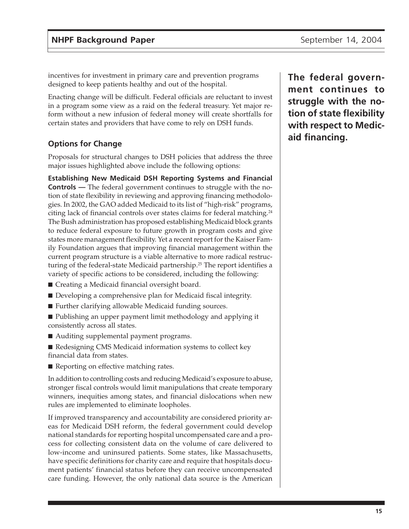incentives for investment in primary care and prevention programs designed to keep patients healthy and out of the hospital.

Enacting change will be difficult. Federal officials are reluctant to invest in a program some view as a raid on the federal treasury. Yet major reform without a new infusion of federal money will create shortfalls for certain states and providers that have come to rely on DSH funds.

### **Options for Change**

Proposals for structural changes to DSH policies that address the three major issues highlighted above include the following options:

**Establishing New Medicaid DSH Reporting Systems and Financial Controls —** The federal government continues to struggle with the notion of state flexibility in reviewing and approving financing methodologies. In 2002, the GAO added Medicaid to its list of "high-risk" programs, citing lack of financial controls over states claims for federal matching.24 The Bush administration has proposed establishing Medicaid block grants to reduce federal exposure to future growth in program costs and give states more management flexibility. Yet a recent report for the Kaiser Family Foundation argues that improving financial management within the current program structure is a viable alternative to more radical restructuring of the federal-state Medicaid partnership.<sup>25</sup> The report identifies a variety of specific actions to be considered, including the following:

- Creating a Medicaid financial oversight board.
- Developing a comprehensive plan for Medicaid fiscal integrity.
- Further clarifying allowable Medicaid funding sources.
- Publishing an upper payment limit methodology and applying it consistently across all states.
- Auditing supplemental payment programs.
- Redesigning CMS Medicaid information systems to collect key financial data from states.
- Reporting on effective matching rates.

In addition to controlling costs and reducing Medicaid's exposure to abuse, stronger fiscal controls would limit manipulations that create temporary winners, inequities among states, and financial dislocations when new rules are implemented to eliminate loopholes.

If improved transparency and accountability are considered priority areas for Medicaid DSH reform, the federal government could develop national standards for reporting hospital uncompensated care and a process for collecting consistent data on the volume of care delivered to low-income and uninsured patients. Some states, like Massachusetts, have specific definitions for charity care and require that hospitals document patients' financial status before they can receive uncompensated care funding. However, the only national data source is the American

**The federal government continues to struggle with the notion of state flexibility with respect to Medicaid financing.**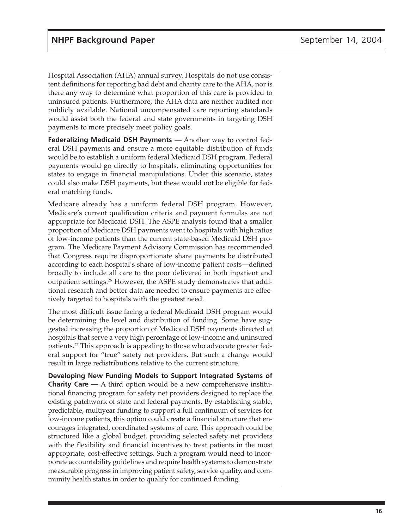Hospital Association (AHA) annual survey. Hospitals do not use consistent definitions for reporting bad debt and charity care to the AHA, nor is there any way to determine what proportion of this care is provided to uninsured patients. Furthermore, the AHA data are neither audited nor publicly available. National uncompensated care reporting standards would assist both the federal and state governments in targeting DSH payments to more precisely meet policy goals.

**Federalizing Medicaid DSH Payments —** Another way to control federal DSH payments and ensure a more equitable distribution of funds would be to establish a uniform federal Medicaid DSH program. Federal payments would go directly to hospitals, eliminating opportunities for states to engage in financial manipulations. Under this scenario, states could also make DSH payments, but these would not be eligible for federal matching funds.

Medicare already has a uniform federal DSH program. However, Medicare's current qualification criteria and payment formulas are not appropriate for Medicaid DSH. The ASPE analysis found that a smaller proportion of Medicare DSH payments went to hospitals with high ratios of low-income patients than the current state-based Medicaid DSH program. The Medicare Payment Advisory Commission has recommended that Congress require disproportionate share payments be distributed according to each hospital's share of low-income patient costs—defined broadly to include all care to the poor delivered in both inpatient and outpatient settings.<sup>26</sup> However, the ASPE study demonstrates that additional research and better data are needed to ensure payments are effectively targeted to hospitals with the greatest need.

The most difficult issue facing a federal Medicaid DSH program would be determining the level and distribution of funding. Some have suggested increasing the proportion of Medicaid DSH payments directed at hospitals that serve a very high percentage of low-income and uninsured patients.27 This approach is appealing to those who advocate greater federal support for "true" safety net providers. But such a change would result in large redistributions relative to the current structure.

**Developing New Funding Models to Support Integrated Systems of Charity Care —** A third option would be a new comprehensive institutional financing program for safety net providers designed to replace the existing patchwork of state and federal payments. By establishing stable, predictable, multiyear funding to support a full continuum of services for low-income patients, this option could create a financial structure that encourages integrated, coordinated systems of care. This approach could be structured like a global budget, providing selected safety net providers with the flexibility and financial incentives to treat patients in the most appropriate, cost-effective settings. Such a program would need to incorporate accountability guidelines and require health systems to demonstrate measurable progress in improving patient safety, service quality, and community health status in order to qualify for continued funding.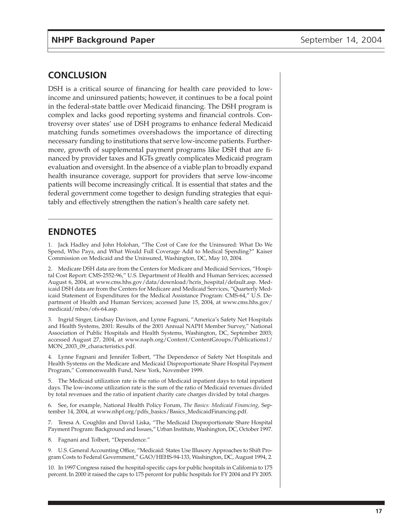### **CONCLUSION**

DSH is a critical source of financing for health care provided to lowincome and uninsured patients; however, it continues to be a focal point in the federal-state battle over Medicaid financing. The DSH program is complex and lacks good reporting systems and financial controls. Controversy over states' use of DSH programs to enhance federal Medicaid matching funds sometimes overshadows the importance of directing necessary funding to institutions that serve low-income patients. Furthermore, growth of supplemental payment programs like DSH that are financed by provider taxes and IGTs greatly complicates Medicaid program evaluation and oversight. In the absence of a viable plan to broadly expand health insurance coverage, support for providers that serve low-income patients will become increasingly critical. It is essential that states and the federal government come together to design funding strategies that equitably and effectively strengthen the nation's health care safety net.

### **ENDNOTES**

1. Jack Hadley and John Holohan, "The Cost of Care for the Uninsured: What Do We Spend, Who Pays, and What Would Full Coverage Add to Medical Spending?" Kaiser Commission on Medicaid and the Uninsured, Washington, DC, May 10, 2004.

2. Medicare DSH data are from the Centers for Medicare and Medicaid Services, "Hospital Cost Report: CMS-2552-96," U.S. Department of Health and Human Services; accessed August 6, 2004, at www.cms.hhs.gov/data/download/hcris\_hospital/default.asp. Medicaid DSH data are from the Centers for Medicare and Medicaid Services, "Quarterly Medicaid Statement of Expenditures for the Medical Assistance Program: CMS-64," U.S. Department of Health and Human Services; accessed June 15, 2004, at www.cms.hhs.gov/ medicaid/mbes/ofs-64.asp.

3. Ingrid Singer, Lindsay Davison, and Lynne Fagnani, "America's Safety Net Hospitals and Health Systems, 2001: Results of the 2001 Annual NAPH Member Survey," National Association of Public Hospitals and Health Systems, Washington, DC, September 2003; accessed August 27, 2004, at www.naph.org/Content/ContentGroups/Publications1/ MON\_2003\_09\_characteristics.pdf.

4. Lynne Fagnani and Jennifer Tolbert, "The Dependence of Safety Net Hospitals and Health Systems on the Medicare and Medicaid Disproportionate Share Hospital Payment Program," Commonwealth Fund, New York, November 1999.

5. The Medicaid utilization rate is the ratio of Medicaid inpatient days to total inpatient days. The low-income utilization rate is the sum of the ratio of Medicaid revenues divided by total revenues and the ratio of inpatient charity care charges divided by total charges.

6. See, for example, National Health Policy Forum, *The Basics: Medicaid Financing,* September 14, 2004, at www.nhpf.org/pdfs\_basics/Basics\_MedicaidFinancing.pdf.

7. Teresa A. Coughlin and David Liska, "The Medicaid Disproportionate Share Hospital Payment Program: Background and Issues," Urban Institute, Washington, DC, October 1997.

8. Fagnani and Tolbert, "Dependence."

9. U.S. General Accounting Office, "Medicaid: States Use Illusory Approaches to Shift Program Costs to Federal Government," GAO/HEHS-94-133, Washington, DC, August 1994, 2.

10. In 1997 Congress raised the hospital-specific caps for public hospitals in California to 175 percent. In 2000 it raised the caps to 175 percent for public hospitals for FY 2004 and FY 2005.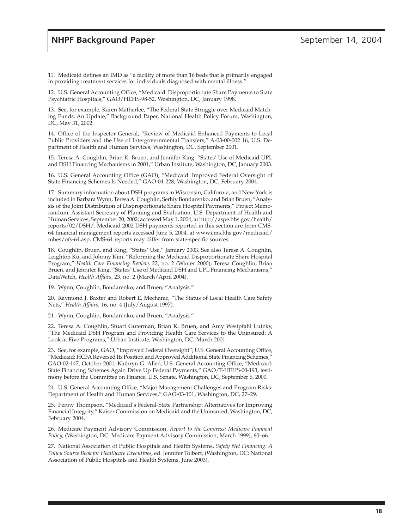11. Medicaid defines an IMD as "a facility of more than 16 beds that is primarily engaged in providing treatment services for individuals diagnosed with mental illness."

12. U.S. General Accounting Office, "Medicaid: Disproportionate Share Payments to State Psychiatric Hospitals," GAO/HEHS-98-52, Washington, DC, January 1998.

13. See, for example, Karen Matherlee, "The Federal-State Struggle over Medicaid Matching Funds: An Update," Background Paper, National Health Policy Forum, Washington, DC, May 31, 2002.

14. Office of the Inspector General, "Review of Medicaid Enhanced Payments to Local Public Providers and the Use of Intergovernmental Transfers," A-03-00-002 16, U.S. Department of Health and Human Services, Washington, DC, September 2001.

15. Teresa A. Coughlin, Brian K. Bruen, and Jennifer King, "States' Use of Medicaid UPL and DSH Financing Mechanisms in 2001," Urban Institute, Washington, DC, January 2003.

16. U.S. General Accounting Office (GAO), "Medicaid: Improved Federal Oversight of State Financing Schemes Is Needed," GAO-04-228, Washington, DC, February 2004.

17. Summary information about DSH programs in Wisconsin, California, and New York is included in Barbara Wynn, Teresa A. Coughlin, Serhiy Bondarenko, and Brian Bruen, "Analysis of the Joint Distribution of Disproportionate Share Hospital Payments," Project Memorandum, Assistant Secretary of Planning and Evaluation, U.S. Department of Health and Human Services, September 20, 2002; accessed May 1, 2004, at http://aspe.hhs.gov/health/ reports/02/DSH/. Medicaid 2002 DSH payments reported in this section are from CMS-64 financial management reports accessed June 5, 2004, at www.cms.hhs.gov/medicaid/ mbes/ofs-64.asp. CMS-64 reports may differ from state-specific sources.

18. Coughlin, Bruen, and King, "States' Use," January 2003. See also Teresa A. Coughlin, Leighton Ku, and Johnny Kim, "Reforming the Medicaid Disproportionate Share Hospital Program," *Health Care Financing Review,* 22, no. 2 (Winter 2000); Teresa Coughlin, Brian Bruen, and Jennifer King, "States' Use of Medicaid DSH and UPL Financing Mechanisms," DataWatch, *Health Affairs*, 23, no. 2 (March/April 2004).

19. Wynn, Coughlin, Bondarenko, and Bruen, "Analysis."

20. Raymond J. Baxter and Robert E. Mechanic, "The Status of Local Health Care Safety Nets," *Health Affairs*, 16, no. 4 (July/August 1997).

21. Wynn, Coughlin, Bondarenko, and Bruen, "Analysis."

22. Teresa A. Coughlin, Stuart Guterman, Brian K. Bruen, and Amy Westpfahl Lutzky, "The Medicaid DSH Program and Providing Health Care Services to the Uninsured: A Look at Five Programs," Urban Institute, Washington, DC, March 2001.

23. See, for example, GAO, "Improved Federal Oversight"; U.S. General Accounting Office, "Medicaid: HCFA Reversed Its Position and Approved Additional State Financing Schemes," GAO-02-147, October 2001; Kathryn G. Allen, U.S. General Accounting Office, "Medicaid: State Financing Schemes Again Drive Up Federal Payments," GAO/T-HEHS-00-193, testimony before the Committee on Finance, U.S. Senate, Washington, DC, September 6, 2000.

24. U.S. General Accounting Office, "Major Management Challenges and Program Risks: Department of Health and Human Services," GAO-03-101, Washington, DC, 27–29.

25. Penny Thompson, "Medicaid's Federal-State Partnership: Alternatives for Improving Financial Integrity," Kaiser Commission on Medicaid and the Uninsured, Washington, DC, February 2004.

26. Medicare Payment Advisory Commission, *Report to the Congress: Medicare Payment Policy,* (Washington, DC: Medicare Payment Advisory Commission, March 1999), 60–66.

27. National Association of Public Hospitals and Health Systems, *Safety Net Financing: A Policy Source Book for Healthcare Executives*, ed. Jennifer Tolbert, (Washington, DC: National Association of Public Hospitals and Health Systems, June 2003).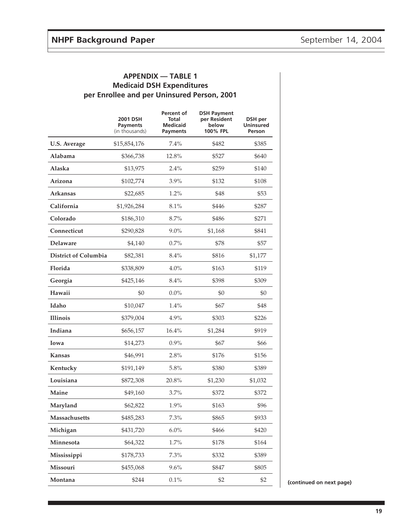|                             | 2001 DSH<br><b>Payments</b><br>(in thousands) | Percent of<br>Total<br><b>Medicaid</b><br><b>Payments</b> | <b>DSH Payment</b><br>per Resident<br>below<br>100% FPL | DSH per<br><b>Uninsured</b><br>Person |
|-----------------------------|-----------------------------------------------|-----------------------------------------------------------|---------------------------------------------------------|---------------------------------------|
| <b>U.S. Average</b>         | \$15,854,176                                  | 7.4%                                                      | \$482                                                   | \$385                                 |
| Alabama                     | \$366,738                                     | 12.8%                                                     | \$527                                                   | \$640                                 |
| Alaska                      | \$13,975                                      | 2.4%                                                      | \$259                                                   | \$140                                 |
| Arizona                     | \$102,774                                     | 3.9%                                                      | \$132                                                   | \$108                                 |
| <b>Arkansas</b>             | \$22,685                                      | 1.2%                                                      | \$48                                                    | \$53                                  |
| California                  | \$1,926,284                                   | 8.1%                                                      | \$446                                                   | \$287                                 |
| Colorado                    | \$186,310                                     | 8.7%                                                      | \$486                                                   | \$271                                 |
| Connecticut                 | \$290,828                                     | $9.0\%$                                                   | \$1,168                                                 | \$841                                 |
| <b>Delaware</b>             | \$4,140                                       | 0.7%                                                      | \$78                                                    | \$57                                  |
| <b>District of Columbia</b> | \$82,381                                      | 8.4%                                                      | \$816                                                   | \$1,177                               |
| Florida                     | \$338,809                                     | 4.0%                                                      | \$163                                                   | \$119                                 |
| Georgia                     | \$425,146                                     | 8.4%                                                      | \$398                                                   | \$309                                 |
| Hawaii                      | \$0                                           | $0.0\%$                                                   | \$0                                                     | \$0                                   |
| Idaho                       | \$10,047                                      | 1.4%                                                      | \$67                                                    | \$48                                  |
| <b>Illinois</b>             | \$379,004                                     | 4.9%                                                      | \$303                                                   | \$226                                 |
| Indiana                     | \$656,157                                     | 16.4%                                                     | \$1,284                                                 | \$919                                 |
| Iowa                        | \$14,273                                      | 0.9%                                                      | \$67                                                    | \$66                                  |
| <b>Kansas</b>               | \$46,991                                      | 2.8%                                                      | \$176                                                   | \$156                                 |
| Kentucky                    | \$191,149                                     | 5.8%                                                      | \$380                                                   | \$389                                 |
| Louisiana                   | \$872,308                                     | 20.8%                                                     | \$1,230                                                 | \$1,032                               |
| Maine                       | \$49,160                                      | 3.7%                                                      | \$372                                                   | \$372                                 |
| Maryland                    | \$62,822                                      | 1.9%                                                      | \$163                                                   | \$96                                  |
| Massachusetts               | \$485,283                                     | 7.3%                                                      | \$865                                                   | \$933                                 |
| Michigan                    | \$431,720                                     | 6.0%                                                      | \$466                                                   | \$420                                 |
| Minnesota                   | \$64,322                                      | 1.7%                                                      | \$178                                                   | \$164                                 |
| Mississippi                 | \$178,733                                     | 7.3%                                                      | \$332                                                   | \$389                                 |
| Missouri                    | \$455,068                                     | 9.6%                                                      | \$847                                                   | \$805                                 |
| Montana                     | \$244                                         | 0.1%                                                      | \$2                                                     | \$2                                   |

#### **APPENDIX — TABLE 1 Medicaid DSH Expenditures per Enrollee and per Uninsured Person, 2001**

**(continued on next page)**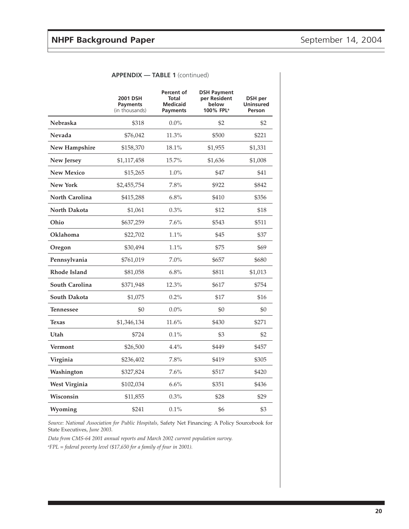|                      | 2001 DSH<br>Payments<br>(in thousands) | Percent of<br>Total<br><b>Medicaid</b><br>Payments | <b>DSH Payment</b><br>per Resident<br>below<br>100% FPL <sup>a</sup> | DSH per<br><b>Uninsured</b><br>Person |
|----------------------|----------------------------------------|----------------------------------------------------|----------------------------------------------------------------------|---------------------------------------|
| Nebraska             | \$318                                  | $0.0\%$                                            | \$2                                                                  | \$2                                   |
| Nevada               | \$76,042                               | 11.3%                                              | \$500                                                                | \$221                                 |
| <b>New Hampshire</b> | \$158,370                              | 18.1%                                              | \$1,955                                                              | \$1,331                               |
| New Jersey           | \$1,117,458                            | 15.7%                                              | \$1,636                                                              | \$1,008                               |
| <b>New Mexico</b>    | \$15,265                               | $1.0\%$                                            | \$47                                                                 | \$41                                  |
| <b>New York</b>      | \$2,455,754                            | 7.8%                                               | \$922                                                                | \$842                                 |
| North Carolina       | \$415,288                              | 6.8%                                               | \$410                                                                | \$356                                 |
| North Dakota         | \$1,061                                | 0.3%                                               | \$12                                                                 | \$18                                  |
| Ohio                 | \$637,259                              | 7.6%                                               | \$543                                                                | \$511                                 |
| Oklahoma             | \$22,702                               | $1.1\%$                                            | \$45                                                                 | \$37                                  |
| Oregon               | \$30,494                               | 1.1%                                               | \$75                                                                 | \$69                                  |
| Pennsylvania         | \$761,019                              | 7.0%                                               | \$657                                                                | \$680                                 |
| <b>Rhode Island</b>  | \$81,058                               | 6.8%                                               | \$811                                                                | \$1,013                               |
| South Carolina       | \$371,948                              | 12.3%                                              | \$617                                                                | \$754                                 |
| South Dakota         | \$1,075                                | 0.2%                                               | \$17                                                                 | \$16                                  |
| <b>Tennessee</b>     | \$0                                    | $0.0\%$                                            | \$0                                                                  | \$0                                   |
| <b>Texas</b>         | \$1,346,134                            | 11.6%                                              | \$430                                                                | \$271                                 |
| Utah                 | \$724                                  | 0.1%                                               | \$3                                                                  | \$2                                   |
| Vermont              | \$26,500                               | 4.4%                                               | \$449                                                                | \$457                                 |
| Virginia             | \$236,402                              | 7.8%                                               | \$419                                                                | \$305                                 |
| Washington           | \$327,824                              | 7.6%                                               | \$517                                                                | \$420                                 |
| West Virginia        | \$102,034                              | 6.6%                                               | \$351                                                                | \$436                                 |
| Wisconsin            | \$11,855                               | 0.3%                                               | \$28                                                                 | \$29                                  |
| Wyoming              | \$241                                  | 0.1%                                               | \$6                                                                  | \$3                                   |

#### **APPENDIX — TABLE 1** (continued)

*Source: National Association for Public Hospitals,* Safety Net Financing: A Policy Sourcebook for State Executives, *June 2003.*

*Data from CMS-64 2001 annual reports and March 2002 current population survey.*

*a FPL = federal poverty level (\$17,650 for a family of four in 2001).*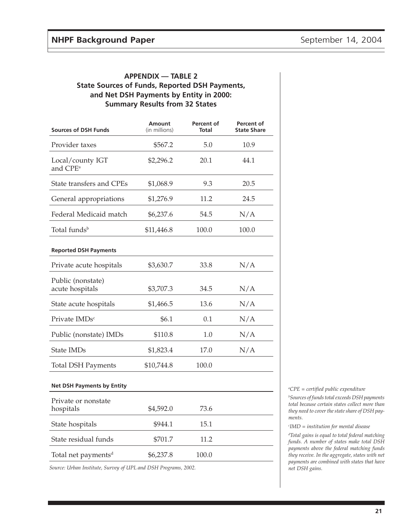#### **APPENDIX — TABLE 2 State Sources of Funds, Reported DSH Payments, and Net DSH Payments by Entity in 2000: Summary Results from 32 States**

| <b>Sources of DSH Funds</b>              | <b>Amount</b><br>(in millions) | <b>Percent of</b><br><b>Total</b> | <b>Percent of</b><br><b>State Share</b> |
|------------------------------------------|--------------------------------|-----------------------------------|-----------------------------------------|
| Provider taxes                           | \$567.2                        | 5.0                               | 10.9                                    |
| Local/county IGT<br>and CPE <sup>a</sup> | \$2,296.2                      | 20.1                              | 44.1                                    |
| State transfers and CPEs                 | \$1,068.9                      | 9.3                               | 20.5                                    |
| General appropriations                   | \$1,276.9                      | 11.2                              | 24.5                                    |
| Federal Medicaid match                   | \$6,237.6                      | 54.5                              | N/A                                     |
| Total funds <sup>b</sup>                 | \$11,446.8                     | 100.0                             | 100.0                                   |
| <b>Reported DSH Payments</b>             |                                |                                   |                                         |
| Private acute hospitals                  | \$3,630.7                      | 33.8                              | N/A                                     |
| Public (nonstate)<br>acute hospitals     | \$3,707.3                      | 34.5                              | N/A                                     |
| State acute hospitals                    | \$1,466.5                      | 13.6                              | N/A                                     |
| Private IMDs <sup>c</sup>                | \$6.1                          | 0.1                               | N/A                                     |
| Public (nonstate) IMDs                   | \$110.8                        | 1.0                               | N/A                                     |
| State IMDs                               | \$1,823.4                      | 17.0                              | N/A                                     |
| <b>Total DSH Payments</b>                | \$10,744.8                     | 100.0                             |                                         |

#### **Net DSH Payments by Entity**

| Private or nonstate<br>hospitals | \$4,592.0 | 73.6  |  |
|----------------------------------|-----------|-------|--|
| State hospitals                  | \$944.1   | 15.1  |  |
| State residual funds             | \$701.7   | 11.2  |  |
| Total net payments <sup>d</sup>  | \$6,237.8 | 100.0 |  |

*Source: Urban Institute, Survey of UPL and DSH Programs, 2002.*

*a CPE = certified public expenditure b Sources of funds total exceeds DSH payments total because certain states collect more than they need to cover the state share of DSH payments.*

*c IMD = institution for mental disease*

*d Total gains is equal to total federal matching funds. A number of states make total DSH payments above the federal matching funds they receive. In the aggregate, states with net payments are combined with states that have net DSH gains.*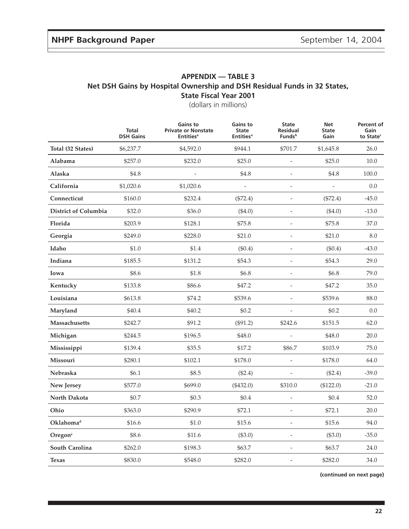#### **APPENDIX — TABLE 3 Net DSH Gains by Hospital Ownership and DSH Residual Funds in 32 States, State Fiscal Year 2001**

(dollars in millions)

|                             | Total<br><b>DSH Gains</b> | <b>Gains to</b><br><b>Private or Nonstate</b><br><b>Entities<sup>a</sup></b> | <b>Gains to</b><br><b>State</b><br><b>Entities<sup>a</sup></b> | <b>State</b><br><b>Residual</b><br>Funds <sup>b</sup> | <b>Net</b><br><b>State</b><br>Gain | Percent of<br>Gain<br>to State <sup>c</sup> |
|-----------------------------|---------------------------|------------------------------------------------------------------------------|----------------------------------------------------------------|-------------------------------------------------------|------------------------------------|---------------------------------------------|
| Total (32 States)           | \$6,237.7                 | \$4,592.0                                                                    | \$944.1                                                        | \$701.7                                               | \$1,645.8                          | 26.0                                        |
| Alabama                     | \$257.0                   | \$232.0                                                                      | \$25.0                                                         | $\overline{\phantom{a}}$                              | \$25.0                             | 10.0                                        |
| Alaska                      | \$4.8                     |                                                                              | \$4.8                                                          | $\overline{\phantom{a}}$                              | \$4.8                              | 100.0                                       |
| California                  | \$1,020.6                 | \$1,020.6                                                                    | $\overline{\phantom{a}}$                                       | $\sim$                                                | $\overline{a}$                     | 0.0                                         |
| Connecticut                 | \$160.0                   | \$232.4                                                                      | (\$72.4)                                                       | $\frac{1}{2}$                                         | $(\$72.4)$                         | $-45.0$                                     |
| <b>District of Columbia</b> | \$32.0                    | \$36.0                                                                       | ( \$4.0)                                                       | $\overline{\phantom{a}}$                              | $(\$4.0)$                          | $-13.0$                                     |
| Florida                     | \$203.9                   | \$128.1                                                                      | \$75.8                                                         | $\overline{\phantom{m}}$                              | \$75.8                             | 37.0                                        |
| Georgia                     | \$249.0                   | \$228.0                                                                      | \$21.0                                                         | $\overline{\phantom{a}}$                              | \$21.0                             | 8.0                                         |
| Idaho                       | \$1.0                     | \$1.4                                                                        | (\$0.4)                                                        | $\frac{1}{2}$                                         | (\$0.4)                            | $-43.0$                                     |
| Indiana                     | \$185.5                   | \$131.2                                                                      | \$54.3                                                         | ÷,                                                    | \$54.3                             | 29.0                                        |
| Iowa                        | \$8.6                     | \$1.8                                                                        | \$6.8                                                          | $\overline{\phantom{a}}$                              | \$6.8                              | 79.0                                        |
| Kentucky                    | \$133.8                   | \$86.6                                                                       | \$47.2                                                         | $\overline{\phantom{a}}$                              | \$47.2                             | 35.0                                        |
| Louisiana                   | \$613.8                   | \$74.2                                                                       | \$539.6                                                        |                                                       | \$539.6                            | 88.0                                        |
| Maryland                    | \$40.4                    | \$40.2                                                                       | \$0.2                                                          | $\sim$                                                | \$0.2                              | 0.0                                         |
| Massachusetts               | \$242.7                   | \$91.2                                                                       | $(\$91.2)$                                                     | \$242.6                                               | \$151.5                            | 62.0                                        |
| Michigan                    | \$244.5                   | \$196.5                                                                      | \$48.0                                                         |                                                       | \$48.0                             | 20.0                                        |
| Mississippi                 | \$139.4                   | \$35.5                                                                       | \$17.2                                                         | \$86.7                                                | \$103.9                            | 75.0                                        |
| Missouri                    | \$280.1                   | \$102.1                                                                      | \$178.0                                                        | $\Box$                                                | \$178.0                            | 64.0                                        |
| Nebraska                    | \$6.1                     | \$8.5                                                                        | $(\$2.4)$                                                      |                                                       | $(\$2.4)$                          | $-39.0$                                     |
| New Jersey                  | \$577.0                   | \$699.0                                                                      | (\$432.0)                                                      | \$310.0                                               | (\$122.0)                          | $-21.0$                                     |
| North Dakota                | \$0.7                     | \$0.3                                                                        | \$0.4                                                          | $\overline{\phantom{a}}$                              | \$0.4                              | 52.0                                        |
| Ohio                        | \$363.0                   | \$290.9                                                                      | \$72.1                                                         |                                                       | \$72.1                             | 20.0                                        |
| Oklahoma <sup>d</sup>       | \$16.6                    | \$1.0                                                                        | \$15.6                                                         | $\overline{\phantom{a}}$                              | \$15.6                             | 94.0                                        |
| Oregon <sup>e</sup>         | \$8.6                     | \$11.6                                                                       | (\$3.0)                                                        | $\overline{\phantom{a}}$                              | $(\$3.0)$                          | $-35.0$                                     |
| South Carolina              | \$262.0                   | \$198.3                                                                      | \$63.7                                                         | $\overline{a}$                                        | \$63.7                             | 24.0                                        |
| <b>Texas</b>                | \$830.0                   | \$548.0                                                                      | \$282.0                                                        |                                                       | \$282.0                            | 34.0                                        |

**(continued on next page)**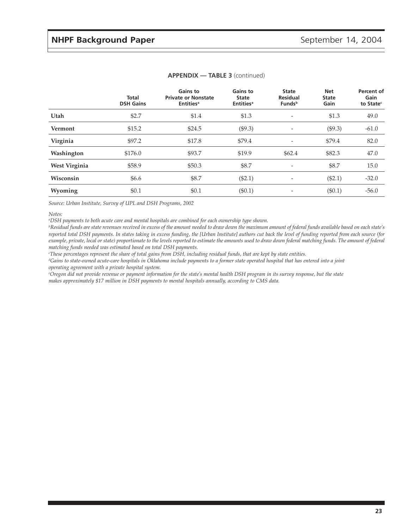|               | <b>Total</b><br><b>DSH Gains</b> | <b>Gains to</b><br><b>Private or Nonstate</b><br><b>Entities<sup>a</sup></b> | Gains to<br><b>State</b><br><b>Entities</b> <sup>a</sup> | <b>State</b><br><b>Residual</b><br><b>Funds</b> <sup>b</sup> | <b>Net</b><br><b>State</b><br>Gain | Percent of<br>Gain<br>to State <sup>c</sup> |
|---------------|----------------------------------|------------------------------------------------------------------------------|----------------------------------------------------------|--------------------------------------------------------------|------------------------------------|---------------------------------------------|
| Utah          | \$2.7                            | \$1.4                                                                        | \$1.3                                                    |                                                              | \$1.3                              | 49.0                                        |
| Vermont       | \$15.2                           | \$24.5                                                                       | (\$9.3)                                                  | -                                                            | (\$9.3)                            | $-61.0$                                     |
| Virginia      | \$97.2                           | \$17.8                                                                       | \$79.4                                                   | -                                                            | \$79.4                             | 82.0                                        |
| Washington    | \$176.0                          | \$93.7                                                                       | \$19.9                                                   | \$62.4                                                       | \$82.3                             | 47.0                                        |
| West Virginia | \$58.9                           | \$50.3                                                                       | \$8.7                                                    |                                                              | \$8.7                              | 15.0                                        |
| Wisconsin     | \$6.6                            | \$8.7                                                                        | (\$2.1)                                                  |                                                              | (\$2.1)                            | $-32.0$                                     |
| Wyoming       | \$0.1                            | \$0.1                                                                        | $(\$0.1)$                                                |                                                              | (\$0.1)                            | $-56.0$                                     |

#### **APPENDIX — TABLE 3** (continued)

*Source: Urban Institute, Survey of UPL and DSH Programs, 2002*

*Notes:*

*a DSH payments to both acute care and mental hospitals are combined for each ownership type shown.*

*b Residual funds are state revenues received in excess of the amount needed to draw down the maximum amount of federal funds available based on each state's reported total DSH payments. In states taking in excess funding, the [Urban Institute] authors cut back the level of funding reported from each source (for example, private, local or state) proportionate to the levels reported to estimate the amounts used to draw down federal matching funds. The amount of federal matching funds needed was estimated based on total DSH payments.*

*c These percentages represent the share of total gains from DSH, including residual funds, that are kept by state entities.*

*d Gains to state-owned acute-care hospitals in Oklahoma include payments to a former state operated hospital that has entered into a joint operating agreement with a private hospital system.*

*e Oregon did not provide revenue or payment information for the state's mental health DSH program in its survey response, but the state makes approximately \$17 million in DSH payments to mental hospitals annually, according to CMS data.*